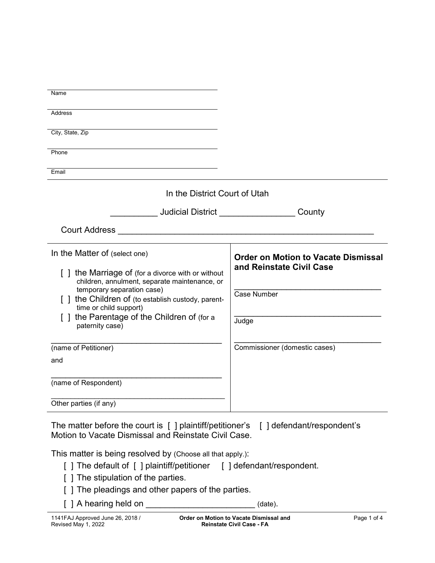| Name                                                                                                                                |                                                                        |
|-------------------------------------------------------------------------------------------------------------------------------------|------------------------------------------------------------------------|
| <b>Address</b>                                                                                                                      |                                                                        |
| City, State, Zip                                                                                                                    |                                                                        |
| Phone                                                                                                                               |                                                                        |
| Email                                                                                                                               |                                                                        |
| In the District Court of Utah                                                                                                       |                                                                        |
| <b>Judicial District County</b>                                                                                                     |                                                                        |
| Court Address National Address National Address National Address National Address                                                   |                                                                        |
| In the Matter of (select one)<br>[] the Marriage of (for a divorce with or without<br>children, annulment, separate maintenance, or | <b>Order on Motion to Vacate Dismissal</b><br>and Reinstate Civil Case |
| temporary separation case)<br>[ ] the Children of (to establish custody, parent-<br>time or child support)                          | Case Number                                                            |
| the Parentage of the Children of (for a<br>paternity case)                                                                          | Judge                                                                  |
| (name of Petitioner)                                                                                                                | Commissioner (domestic cases)                                          |
| and                                                                                                                                 |                                                                        |
| (name of Respondent)                                                                                                                |                                                                        |
| Other parties (if any)                                                                                                              |                                                                        |

The matter before the court is [ ] plaintiff/petitioner's [ ] defendant/respondent's Motion to Vacate Dismissal and Reinstate Civil Case.

This matter is being resolved by (Choose all that apply.):

- [ ] The default of [ ] plaintiff/petitioner [ ] defendant/respondent.
- [ ] The stipulation of the parties.
- [ ] The pleadings and other papers of the parties.
- [ ] A hearing held on \_\_\_\_\_\_\_\_\_\_\_\_\_\_\_\_\_\_\_\_\_\_\_\_\_\_\_\_(date).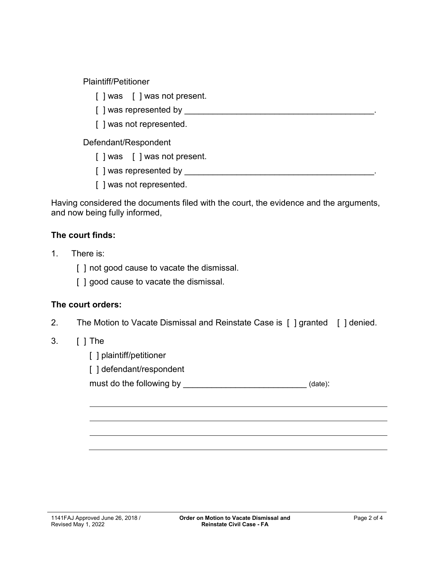Plaintiff/Petitioner

- [ ] was [ ] was not present.
- [ ] was represented by \_\_\_\_\_\_\_\_\_\_\_\_\_\_\_\_\_\_\_\_\_\_\_\_\_\_\_\_\_\_\_\_\_\_\_\_\_\_\_\_.
- [ ] was not represented.

Defendant/Respondent

- [ ] was [ ] was not present.
- [ ] was represented by \_\_\_\_\_\_\_\_\_\_\_\_\_\_\_\_\_\_\_\_\_\_\_\_\_\_\_\_\_\_\_\_\_\_\_\_\_\_\_\_.
- [ ] was not represented.

Having considered the documents filed with the court, the evidence and the arguments, and now being fully informed,

## **The court finds:**

- 1. There is:
	- [] not good cause to vacate the dismissal.
	- [ ] good cause to vacate the dismissal.

## **The court orders:**

2. The Motion to Vacate Dismissal and Reinstate Case is [ ] granted [ ] denied.

## 3. [ ] The

- [ ] plaintiff/petitioner
- [] defendant/respondent

must do the following by \_\_\_\_\_\_\_\_\_\_\_\_\_\_\_\_\_\_\_\_\_\_\_\_\_\_\_\_\_\_\_\_\_(date):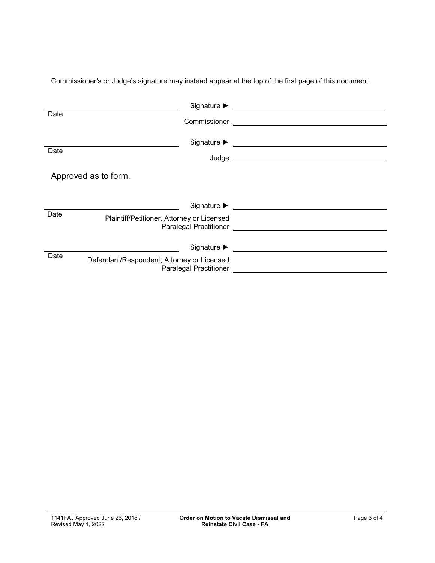| Date | Commissioner                                                                                                   | <u> 1980 - Andrea Andrew Maria (h. 1980).</u>                                                                          |
|------|----------------------------------------------------------------------------------------------------------------|------------------------------------------------------------------------------------------------------------------------|
| Date | Judge                                                                                                          | <u> 1989 - Johann Stoff, deutscher Stoffen und der Stoffen und der Stoffen und der Stoffen und der Stoffen und der</u> |
|      | Approved as to form.                                                                                           |                                                                                                                        |
| Date | Signature $\blacktriangleright$<br>Plaintiff/Petitioner, Attorney or Licensed<br><b>Paralegal Practitioner</b> |                                                                                                                        |
| Date | Signature $\blacktriangleright$<br>Defendant/Respondent, Attorney or Licensed<br><b>Paralegal Practitioner</b> |                                                                                                                        |

Commissioner's or Judge's signature may instead appear at the top of the first page of this document.